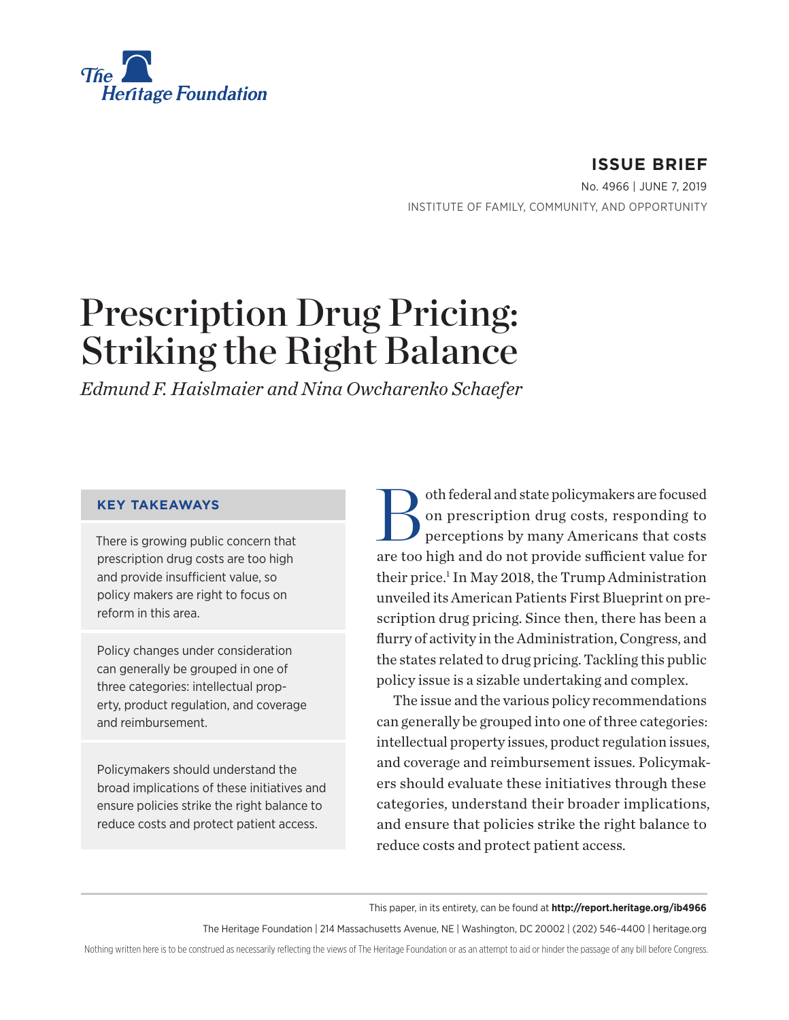

**ISSUE BRIEF** No. 4966 | June 7, 2019 INSTITUTE OF FAMILY, COMMUNITY, AND OPPORTUNITY

# Prescription Drug Pricing: Striking the Right Balance

*Edmund F. Haislmaier and Nina Owcharenko Schaefer*

#### **KEY TAKEAWAYS**

There is growing public concern that prescription drug costs are too high and provide insufficient value, so policy makers are right to focus on reform in this area.

Policy changes under consideration can generally be grouped in one of three categories: intellectual property, product regulation, and coverage and reimbursement.

Policymakers should understand the broad implications of these initiatives and ensure policies strike the right balance to reduce costs and protect patient access.

Both federal and state policymakers are focused<br>on prescription drug costs, responding to<br>perceptions by many Americans that costs on prescription drug costs, responding to perceptions by many Americans that costs are too high and do not provide sufficient value for their price.<sup>1</sup> In May 2018, the Trump Administration unveiled its American Patients First Blueprint on prescription drug pricing. Since then, there has been a flurry of activity in the Administration, Congress, and the states related to drug pricing. Tackling this public policy issue is a sizable undertaking and complex.

The issue and the various policy recommendations can generally be grouped into one of three categories: intellectual property issues, product regulation issues, and coverage and reimbursement issues. Policymakers should evaluate these initiatives through these categories, understand their broader implications, and ensure that policies strike the right balance to reduce costs and protect patient access.

This paper, in its entirety, can be found at **http://report.heritage.org/ib4966**

The Heritage Foundation | 214 Massachusetts Avenue, NE | Washington, DC 20002 | (202) 546-4400 | heritage.org

Nothing written here is to be construed as necessarily reflecting the views of The Heritage Foundation or as an attempt to aid or hinder the passage of any bill before Congress.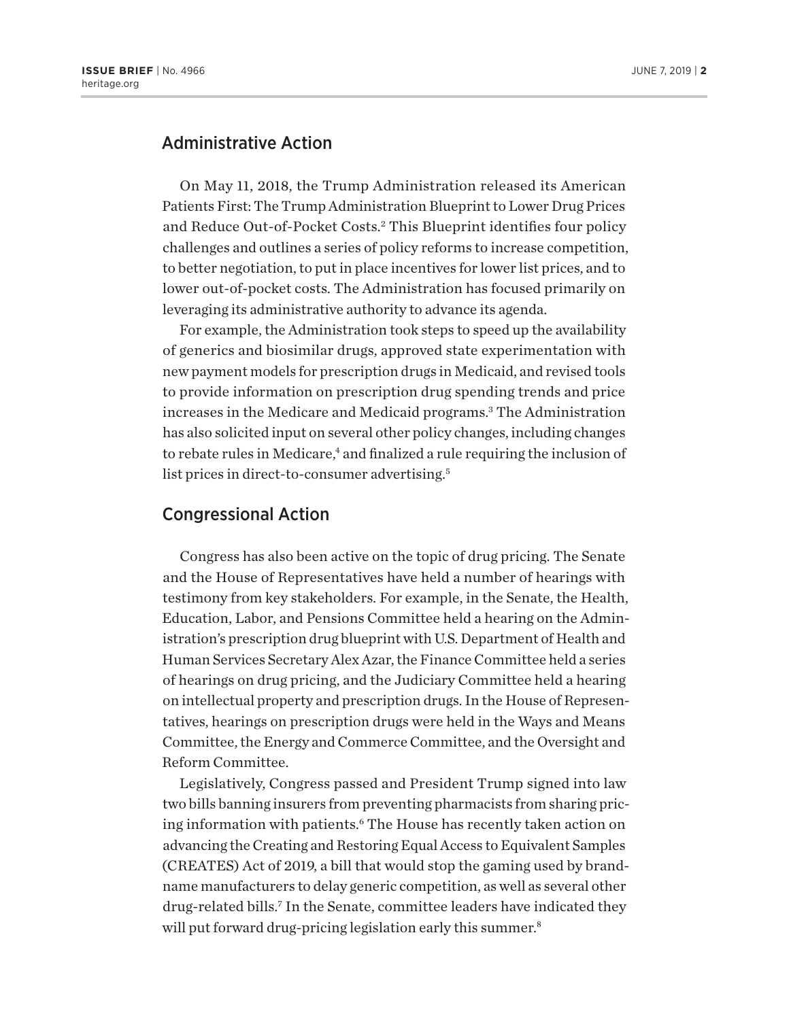### Administrative Action

On May 11, 2018, the Trump Administration released its American Patients First: The Trump Administration Blueprint to Lower Drug Prices and Reduce Out-of-Pocket Costs.<sup>2</sup> This Blueprint identifies four policy challenges and outlines a series of policy reforms to increase competition, to better negotiation, to put in place incentives for lower list prices, and to lower out-of-pocket costs. The Administration has focused primarily on leveraging its administrative authority to advance its agenda.

For example, the Administration took steps to speed up the availability of generics and biosimilar drugs, approved state experimentation with new payment models for prescription drugs in Medicaid, and revised tools to provide information on prescription drug spending trends and price increases in the Medicare and Medicaid programs.3 The Administration has also solicited input on several other policy changes, including changes to rebate rules in Medicare,<sup>4</sup> and finalized a rule requiring the inclusion of list prices in direct-to-consumer advertising.<sup>5</sup>

### Congressional Action

Congress has also been active on the topic of drug pricing. The Senate and the House of Representatives have held a number of hearings with testimony from key stakeholders. For example, in the Senate, the Health, Education, Labor, and Pensions Committee held a hearing on the Administration's prescription drug blueprint with U.S. Department of Health and Human Services Secretary Alex Azar, the Finance Committee held a series of hearings on drug pricing, and the Judiciary Committee held a hearing on intellectual property and prescription drugs. In the House of Representatives, hearings on prescription drugs were held in the Ways and Means Committee, the Energy and Commerce Committee, and the Oversight and Reform Committee.

Legislatively, Congress passed and President Trump signed into law two bills banning insurers from preventing pharmacists from sharing pricing information with patients.6 The House has recently taken action on advancing the Creating and Restoring Equal Access to Equivalent Samples (CREATES) Act of 2019, a bill that would stop the gaming used by brandname manufacturers to delay generic competition, as well as several other drug-related bills.7 In the Senate, committee leaders have indicated they will put forward drug-pricing legislation early this summer.<sup>8</sup>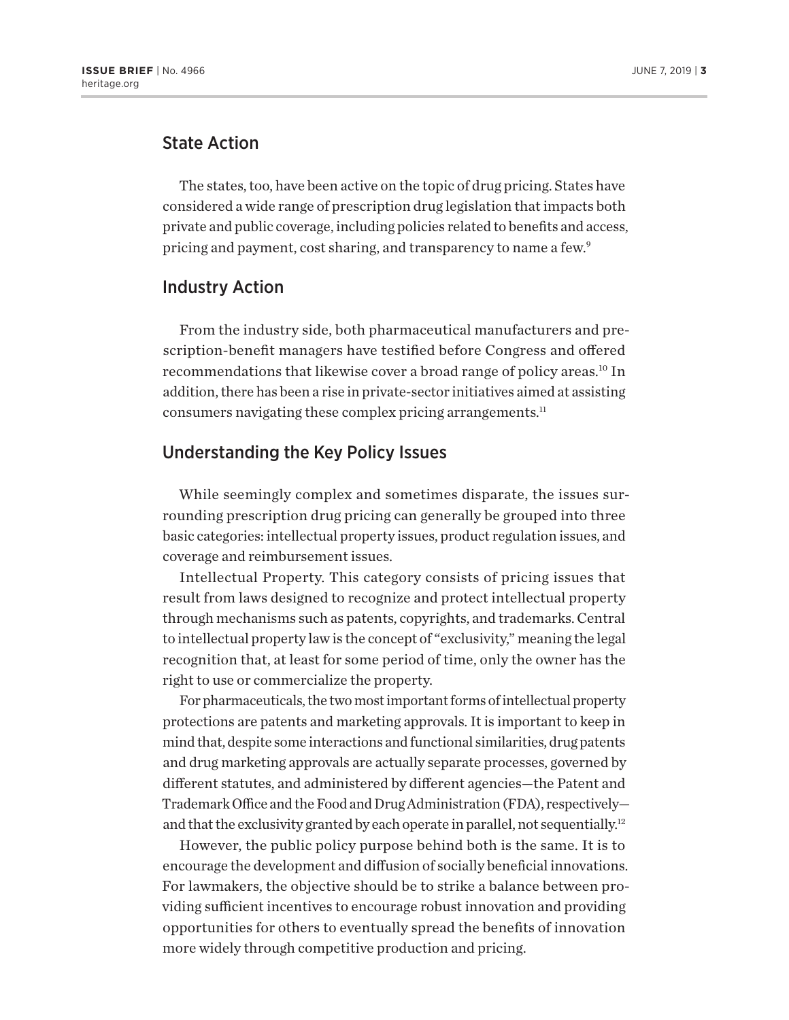## State Action

The states, too, have been active on the topic of drug pricing. States have considered a wide range of prescription drug legislation that impacts both private and public coverage, including policies related to benefits and access, pricing and payment, cost sharing, and transparency to name a few.<sup>9</sup>

#### Industry Action

From the industry side, both pharmaceutical manufacturers and prescription-benefit managers have testified before Congress and offered recommendations that likewise cover a broad range of policy areas.<sup>10</sup> In addition, there has been a rise in private-sector initiatives aimed at assisting consumers navigating these complex pricing arrangements.11

## Understanding the Key Policy Issues

While seemingly complex and sometimes disparate, the issues surrounding prescription drug pricing can generally be grouped into three basic categories: intellectual property issues, product regulation issues, and coverage and reimbursement issues.

Intellectual Property. This category consists of pricing issues that result from laws designed to recognize and protect intellectual property through mechanisms such as patents, copyrights, and trademarks. Central to intellectual property law is the concept of "exclusivity," meaning the legal recognition that, at least for some period of time, only the owner has the right to use or commercialize the property.

For pharmaceuticals, the two most important forms of intellectual property protections are patents and marketing approvals. It is important to keep in mind that, despite some interactions and functional similarities, drug patents and drug marketing approvals are actually separate processes, governed by different statutes, and administered by different agencies—the Patent and Trademark Office and the Food and Drug Administration (FDA), respectively and that the exclusivity granted by each operate in parallel, not sequentially.<sup>12</sup>

However, the public policy purpose behind both is the same. It is to encourage the development and diffusion of socially beneficial innovations. For lawmakers, the objective should be to strike a balance between providing sufficient incentives to encourage robust innovation and providing opportunities for others to eventually spread the benefits of innovation more widely through competitive production and pricing.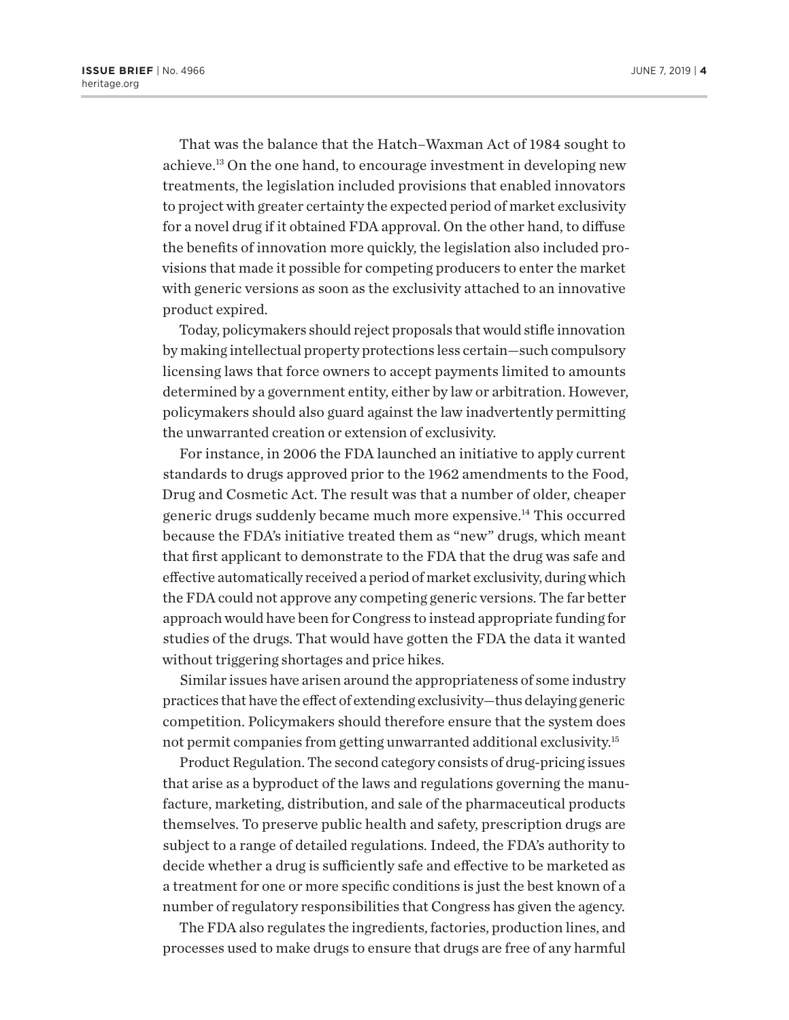That was the balance that the Hatch–Waxman Act of 1984 sought to achieve.13 On the one hand, to encourage investment in developing new treatments, the legislation included provisions that enabled innovators to project with greater certainty the expected period of market exclusivity for a novel drug if it obtained FDA approval. On the other hand, to diffuse the benefits of innovation more quickly, the legislation also included provisions that made it possible for competing producers to enter the market with generic versions as soon as the exclusivity attached to an innovative product expired.

Today, policymakers should reject proposals that would stifle innovation by making intellectual property protections less certain—such compulsory licensing laws that force owners to accept payments limited to amounts determined by a government entity, either by law or arbitration. However, policymakers should also guard against the law inadvertently permitting the unwarranted creation or extension of exclusivity.

For instance, in 2006 the FDA launched an initiative to apply current standards to drugs approved prior to the 1962 amendments to the Food, Drug and Cosmetic Act. The result was that a number of older, cheaper generic drugs suddenly became much more expensive.14 This occurred because the FDA's initiative treated them as "new" drugs, which meant that first applicant to demonstrate to the FDA that the drug was safe and effective automatically received a period of market exclusivity, during which the FDA could not approve any competing generic versions. The far better approach would have been for Congress to instead appropriate funding for studies of the drugs. That would have gotten the FDA the data it wanted without triggering shortages and price hikes.

Similar issues have arisen around the appropriateness of some industry practices that have the effect of extending exclusivity—thus delaying generic competition. Policymakers should therefore ensure that the system does not permit companies from getting unwarranted additional exclusivity.15

Product Regulation. The second category consists of drug-pricing issues that arise as a byproduct of the laws and regulations governing the manufacture, marketing, distribution, and sale of the pharmaceutical products themselves. To preserve public health and safety, prescription drugs are subject to a range of detailed regulations. Indeed, the FDA's authority to decide whether a drug is sufficiently safe and effective to be marketed as a treatment for one or more specific conditions is just the best known of a number of regulatory responsibilities that Congress has given the agency.

The FDA also regulates the ingredients, factories, production lines, and processes used to make drugs to ensure that drugs are free of any harmful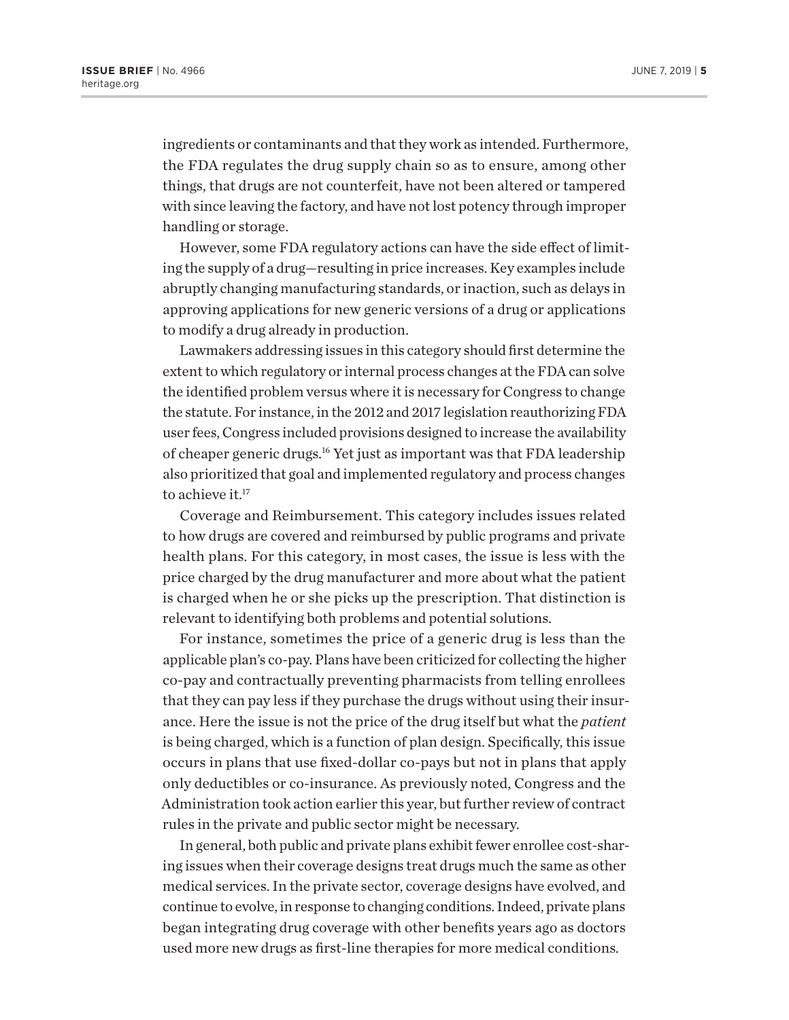ingredients or contaminants and that they work as intended. Furthermore, the FDA regulates the drug supply chain so as to ensure, among other things, that drugs are not counterfeit, have not been altered or tampered with since leaving the factory, and have not lost potency through improper handling or storage.

However, some FDA regulatory actions can have the side effect of limiting the supply of a drug—resulting in price increases. Key examples include abruptly changing manufacturing standards, or inaction, such as delays in approving applications for new generic versions of a drug or applications to modify a drug already in production.

Lawmakers addressing issues in this category should first determine the extent to which regulatory or internal process changes at the FDA can solve the identified problem versus where it is necessary for Congress to change the statute. For instance, in the 2012 and 2017 legislation reauthorizing FDA user fees, Congress included provisions designed to increase the availability of cheaper generic drugs.16 Yet just as important was that FDA leadership also prioritized that goal and implemented regulatory and process changes to achieve it. $17$ 

Coverage and Reimbursement. This category includes issues related to how drugs are covered and reimbursed by public programs and private health plans. For this category, in most cases, the issue is less with the price charged by the drug manufacturer and more about what the patient is charged when he or she picks up the prescription. That distinction is relevant to identifying both problems and potential solutions.

For instance, sometimes the price of a generic drug is less than the applicable plan's co-pay. Plans have been criticized for collecting the higher co-pay and contractually preventing pharmacists from telling enrollees that they can pay less if they purchase the drugs without using their insurance. Here the issue is not the price of the drug itself but what the *patient* is being charged, which is a function of plan design. Specifically, this issue occurs in plans that use fixed-dollar co-pays but not in plans that apply only deductibles or co-insurance. As previously noted, Congress and the Administration took action earlier this year, but further review of contract rules in the private and public sector might be necessary.

In general, both public and private plans exhibit fewer enrollee cost-sharing issues when their coverage designs treat drugs much the same as other medical services. In the private sector, coverage designs have evolved, and continue to evolve, in response to changing conditions. Indeed, private plans began integrating drug coverage with other benefits years ago as doctors used more new drugs as first-line therapies for more medical conditions.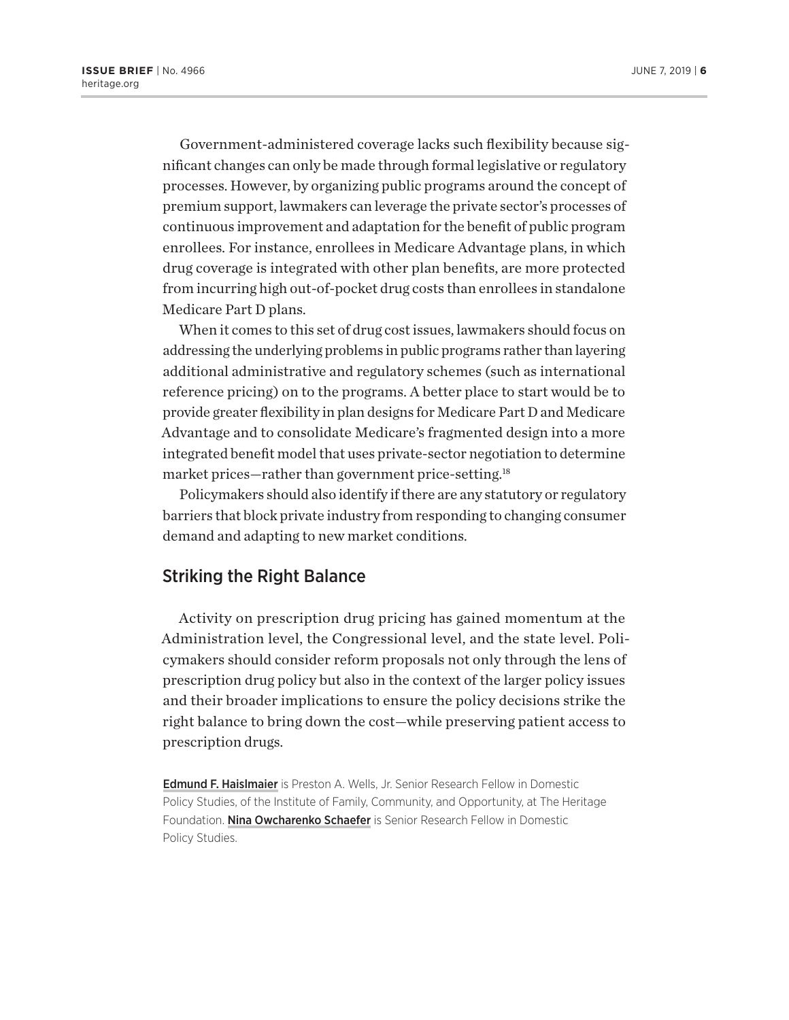Government-administered coverage lacks such flexibility because significant changes can only be made through formal legislative or regulatory processes. However, by organizing public programs around the concept of premium support, lawmakers can leverage the private sector's processes of continuous improvement and adaptation for the benefit of public program enrollees. For instance, enrollees in Medicare Advantage plans, in which drug coverage is integrated with other plan benefits, are more protected from incurring high out-of-pocket drug costs than enrollees in standalone Medicare Part D plans.

When it comes to this set of drug cost issues, lawmakers should focus on addressing the underlying problems in public programs rather than layering additional administrative and regulatory schemes (such as international reference pricing) on to the programs. A better place to start would be to provide greater flexibility in plan designs for Medicare Part D and Medicare Advantage and to consolidate Medicare's fragmented design into a more integrated benefit model that uses private-sector negotiation to determine market prices—rather than government price-setting.18

Policymakers should also identify if there are any statutory or regulatory barriers that block private industry from responding to changing consumer demand and adapting to new market conditions.

#### Striking the Right Balance

Activity on prescription drug pricing has gained momentum at the Administration level, the Congressional level, and the state level. Policymakers should consider reform proposals not only through the lens of prescription drug policy but also in the context of the larger policy issues and their broader implications to ensure the policy decisions strike the right balance to bring down the cost—while preserving patient access to prescription drugs.

**Edmund F. Haislmaier** is Preston A. Wells, Jr. Senior Research Fellow in Domestic Policy Studies, of the Institute of Family, Community, and Opportunity, at The Heritage Foundation. Nina Owcharenko Schaefer is Senior Research Fellow in Domestic Policy Studies.